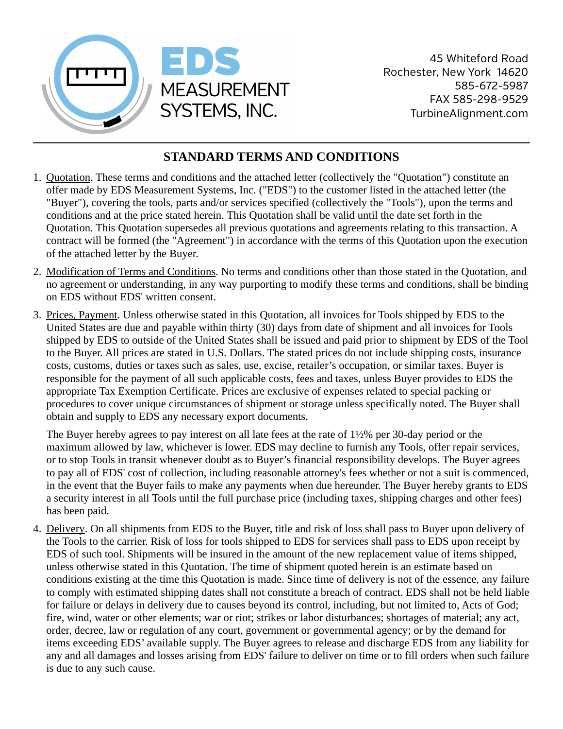

## **STANDARD TERMS AND CONDITIONS**

- 1. Quotation. These terms and conditions and the attached letter (collectively the "Quotation") constitute an offer made by EDS Measurement Systems, Inc. ("EDS") to the customer listed in the attached letter (the "Buyer"), covering the tools, parts and/or services specified (collectively the "Tools"), upon the terms and conditions and at the price stated herein. This Quotation shall be valid until the date set forth in the Quotation. This Quotation supersedes all previous quotations and agreements relating to this transaction. A contract will be formed (the "Agreement") in accordance with the terms of this Quotation upon the execution of the attached letter by the Buyer.
- 2. Modification of Terms and Conditions. No terms and conditions other than those stated in the Quotation, and no agreement or understanding, in any way purporting to modify these terms and conditions, shall be binding on EDS without EDS' written consent.
- 3. Prices, Payment. Unless otherwise stated in this Quotation, all invoices for Tools shipped by EDS to the United States are due and payable within thirty (30) days from date of shipment and all invoices for Tools shipped by EDS to outside of the United States shall be issued and paid prior to shipment by EDS of the Tool to the Buyer. All prices are stated in U.S. Dollars. The stated prices do not include shipping costs, insurance costs, customs, duties or taxes such as sales, use, excise, retailer's occupation, or similar taxes. Buyer is responsible for the payment of all such applicable costs, fees and taxes, unless Buyer provides to EDS the appropriate Tax Exemption Certificate. Prices are exclusive of expenses related to special packing or procedures to cover unique circumstances of shipment or storage unless specifically noted. The Buyer shall obtain and supply to EDS any necessary export documents.

The Buyer hereby agrees to pay interest on all late fees at the rate of 1½% per 30-day period or the maximum allowed by law, whichever is lower. EDS may decline to furnish any Tools, offer repair services, or to stop Tools in transit whenever doubt as to Buyer's financial responsibility develops. The Buyer agrees to pay all of EDS' cost of collection, including reasonable attorney's fees whether or not a suit is commenced, in the event that the Buyer fails to make any payments when due hereunder. The Buyer hereby grants to EDS a security interest in all Tools until the full purchase price (including taxes, shipping charges and other fees) has been paid.

4. Delivery. On all shipments from EDS to the Buyer, title and risk of loss shall pass to Buyer upon delivery of the Tools to the carrier. Risk of loss for tools shipped to EDS for services shall pass to EDS upon receipt by EDS of such tool. Shipments will be insured in the amount of the new replacement value of items shipped, unless otherwise stated in this Quotation. The time of shipment quoted herein is an estimate based on conditions existing at the time this Quotation is made. Since time of delivery is not of the essence, any failure to comply with estimated shipping dates shall not constitute a breach of contract. EDS shall not be held liable for failure or delays in delivery due to causes beyond its control, including, but not limited to, Acts of God; fire, wind, water or other elements; war or riot; strikes or labor disturbances; shortages of material; any act, order, decree, law or regulation of any court, government or governmental agency; or by the demand for items exceeding EDS' available supply. The Buyer agrees to release and discharge EDS from any liability for any and all damages and losses arising from EDS' failure to deliver on time or to fill orders when such failure is due to any such cause.